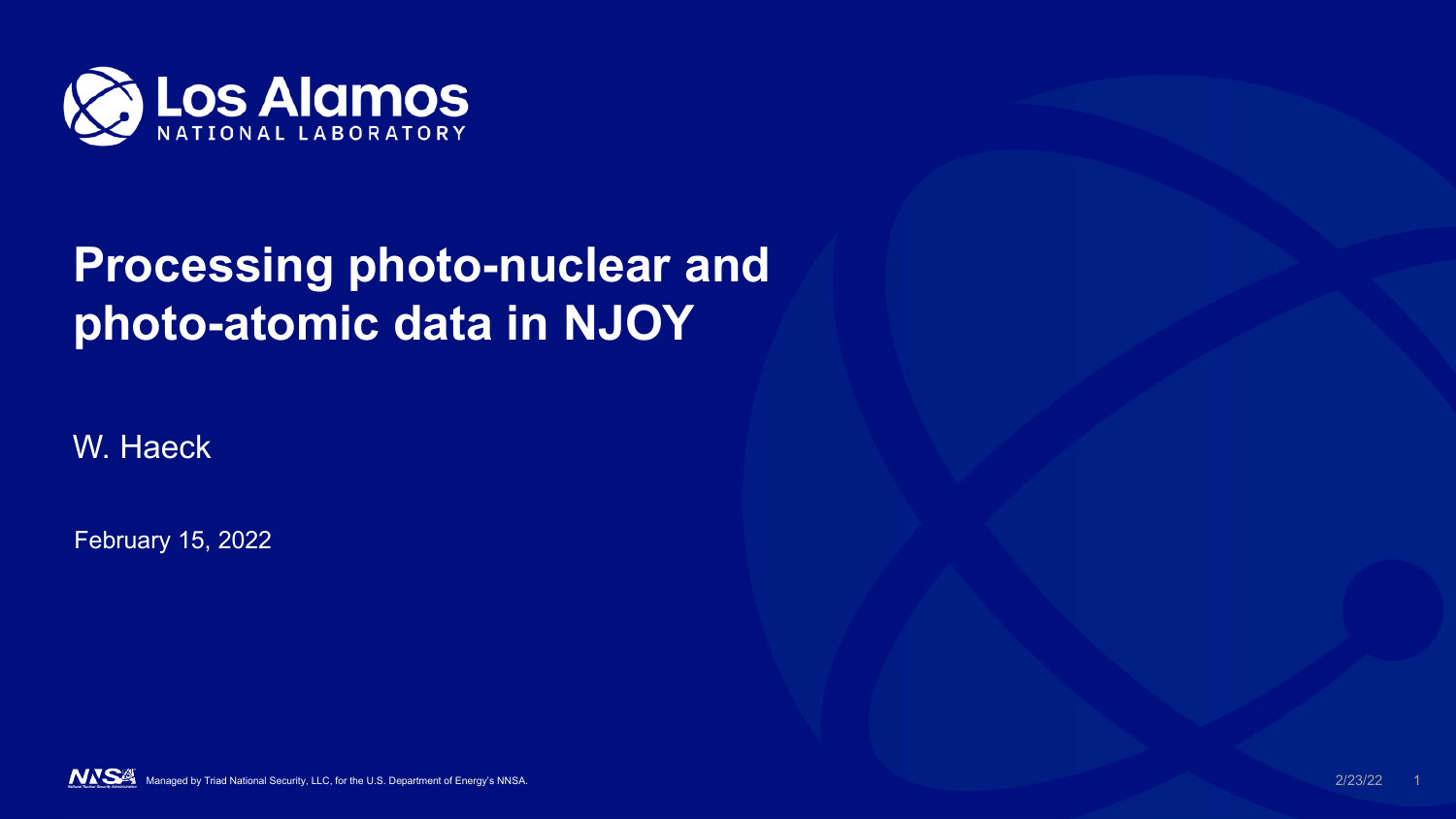

## **Processing photo-nuclear and photo-atomic data in NJOY**

W. Haeck

February 15, 2022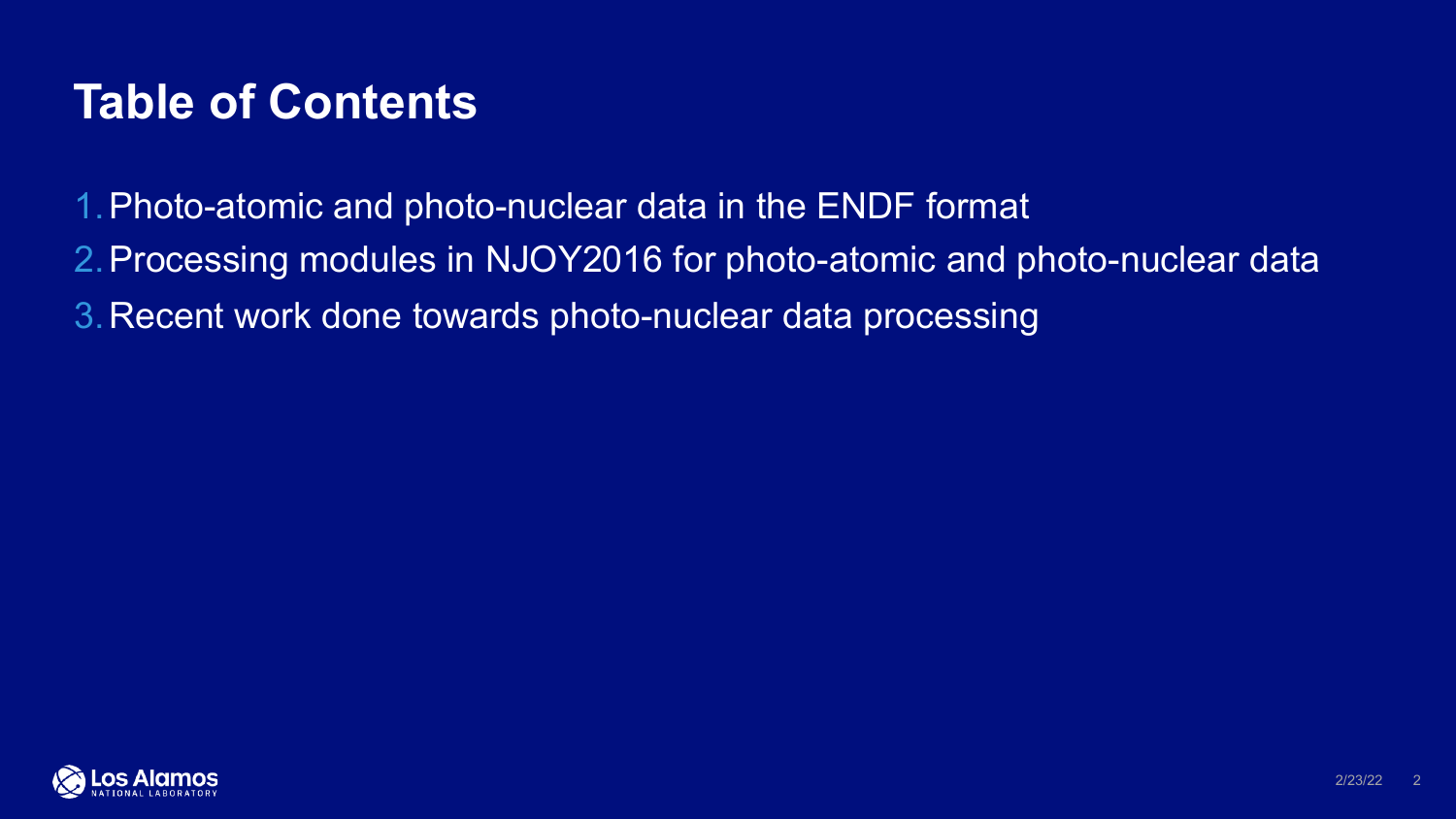## **Table of Contents**

1.Photo-atomic and photo-nuclear data in the ENDF format

- 2.Processing modules in NJOY2016 for photo-atomic and photo-nuclear data
- 3.Recent work done towards photo-nuclear data processing

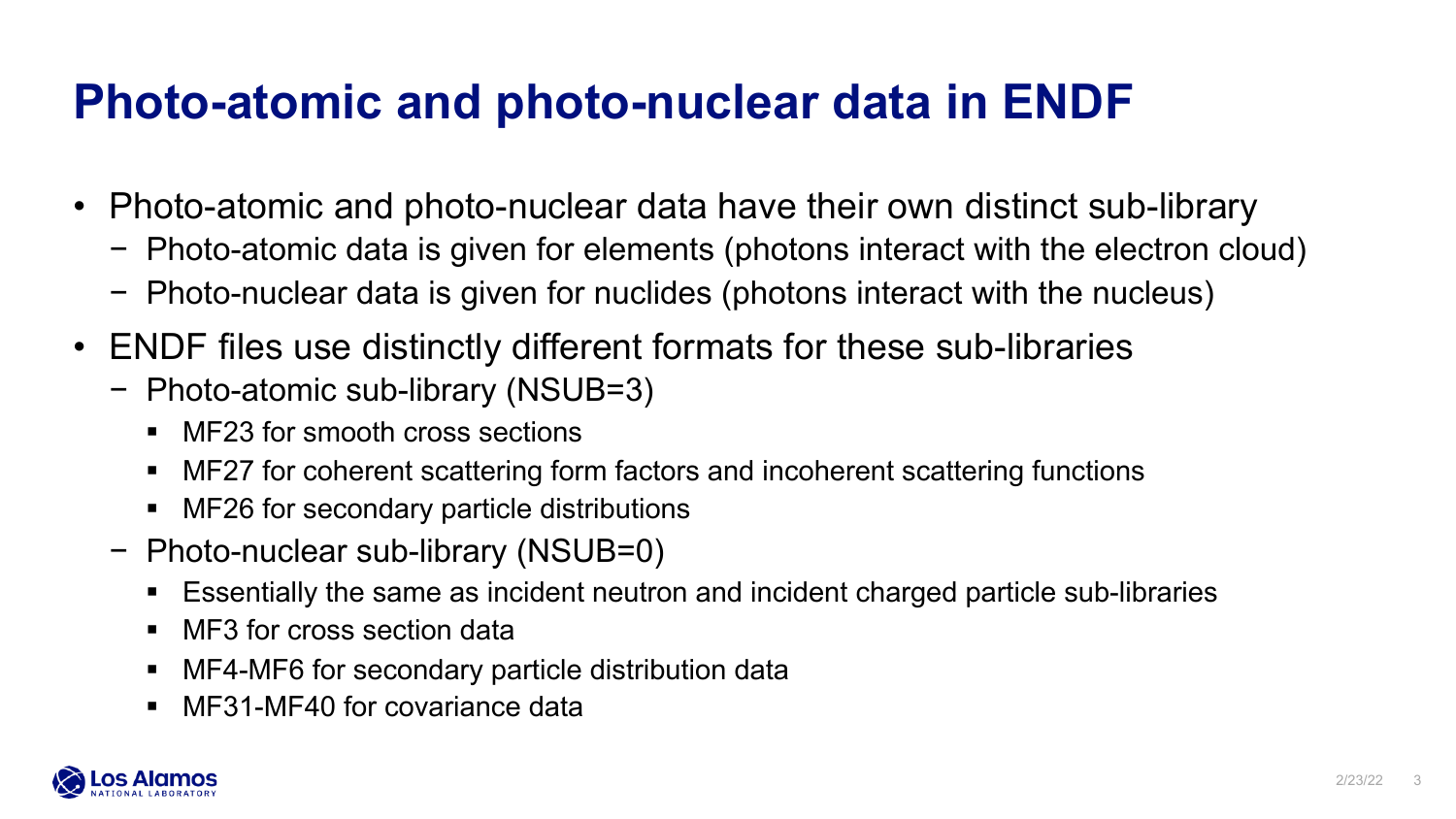## **Photo-atomic and photo-nuclear data in ENDF**

- Photo-atomic and photo-nuclear data have their own distinct sub-library
	- − Photo-atomic data is given for elements (photons interact with the electron cloud)
	- − Photo-nuclear data is given for nuclides (photons interact with the nucleus)
- ENDF files use distinctly different formats for these sub-libraries
	- − Photo-atomic sub-library (NSUB=3)
		- MF23 for smooth cross sections
		- MF27 for coherent scattering form factors and incoherent scattering functions
		- MF26 for secondary particle distributions
	- − Photo-nuclear sub-library (NSUB=0)
		- Essentially the same as incident neutron and incident charged particle sub-libraries
		- MF3 for cross section data
		- MF4-MF6 for secondary particle distribution data
		- MF31-MF40 for covariance data

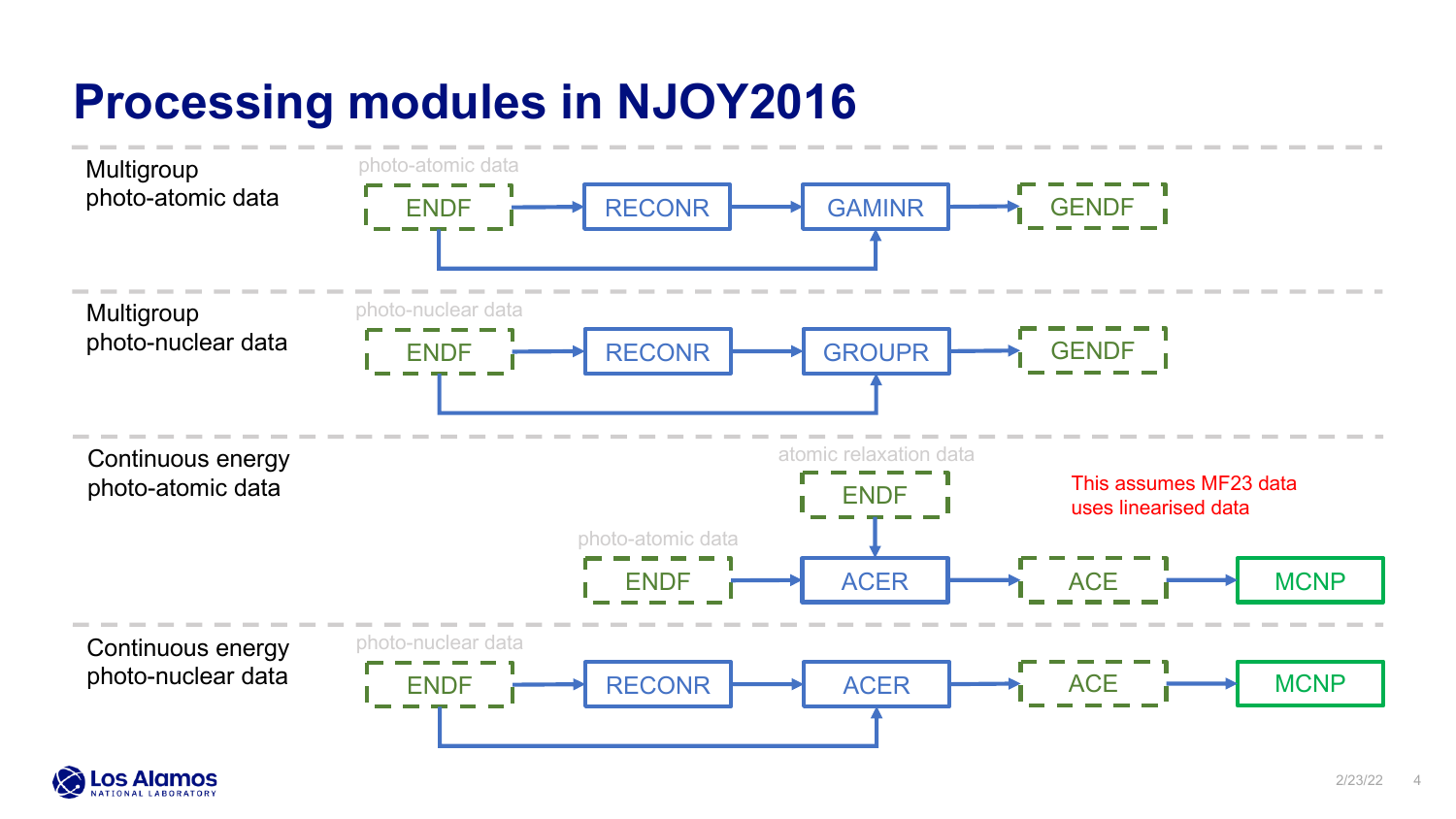# **Processing modules in NJOY2016**



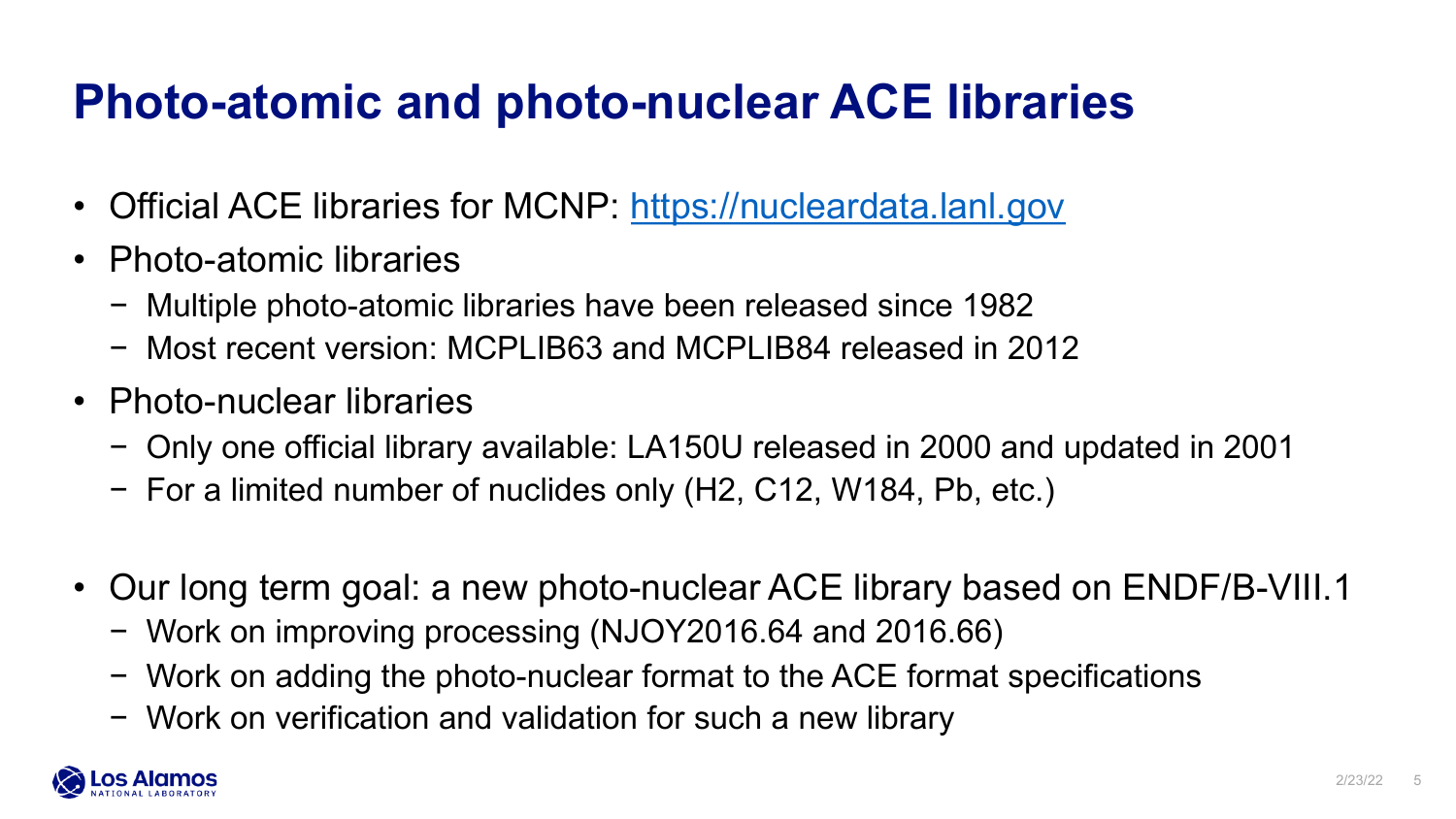## **Photo-atomic and photo-nuclear ACE libraries**

- Official ACE libraries for MCNP: https://nucleardata.lanl.gov
- Photo-atomic libraries
	- − Multiple photo-atomic libraries have been released since 1982
	- − Most recent version: MCPLIB63 and MCPLIB84 released in 2012
- Photo-nuclear libraries
	- − Only one official library available: LA150U released in 2000 and updated in 2001
	- − For a limited number of nuclides only (H2, C12, W184, Pb, etc.)
- Our long term goal: a new photo-nuclear ACE library based on ENDF/I
	- − Work on improving processing (NJOY2016.64 and 2016.66)
	- − Work on adding the photo-nuclear format to the ACE format specifications
	- − Work on verification and validation for such a new library

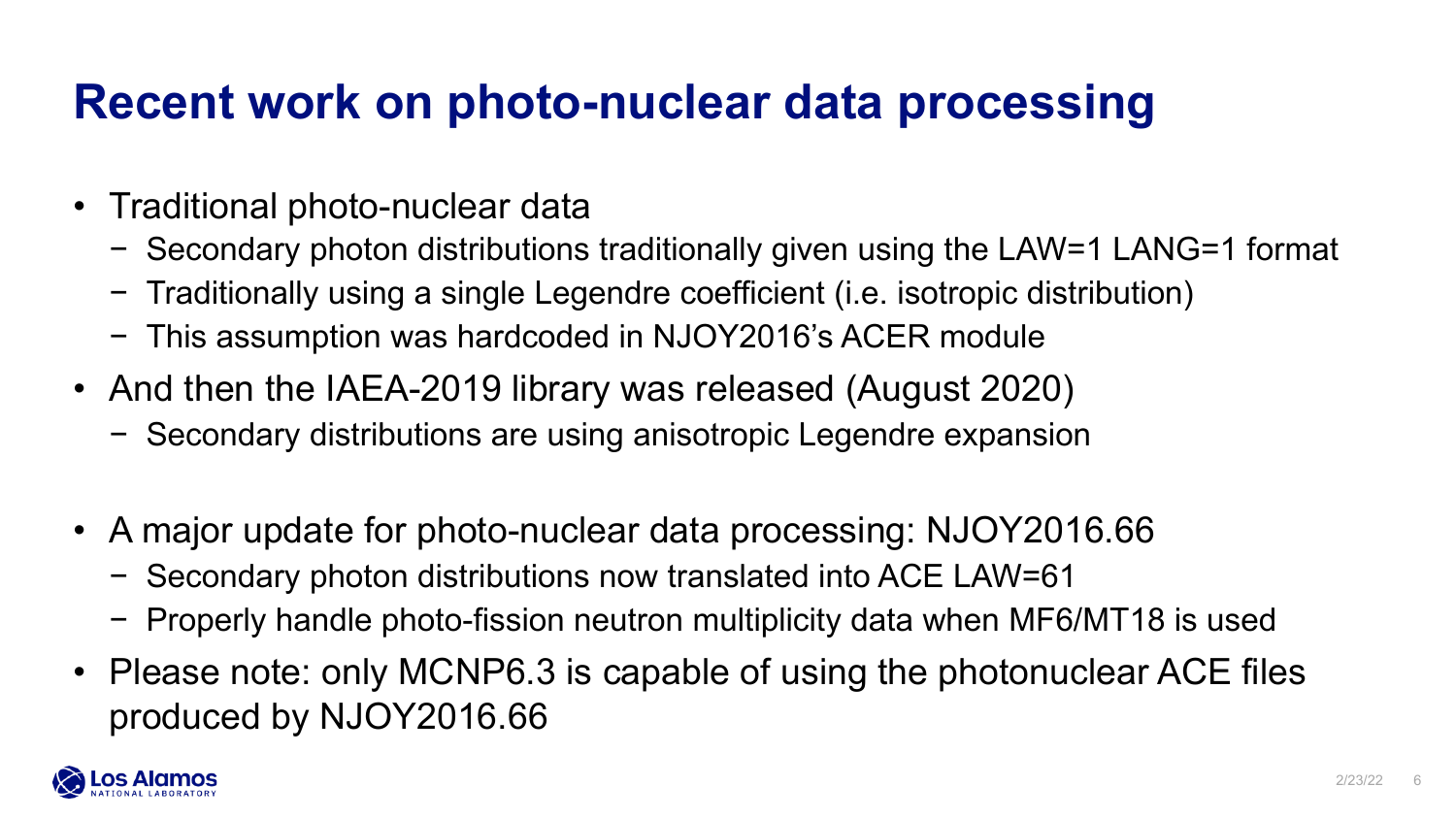### **Recent work on photo-nuclear data processing**

- Traditional photo-nuclear data
	- − Secondary photon distributions traditionally given using the LAW=1 LANG=1 format
	- − Traditionally using a single Legendre coefficient (i.e. isotropic distribution)
	- − This assumption was hardcoded in NJOY2016's ACER module
- And then the IAEA-2019 library was released (August 2020)
	- − Secondary distributions are using anisotropic Legendre expansion
- A major update for photo-nuclear data processing: NJOY2016.66
	- − Secondary photon distributions now translated into ACE LAW=61
	- − Properly handle photo-fission neutron multiplicity data when MF6/MT18 is used
- Please note: only MCNP6.3 is capable of using the photonuclear ACE files produced by NJOY2016.66

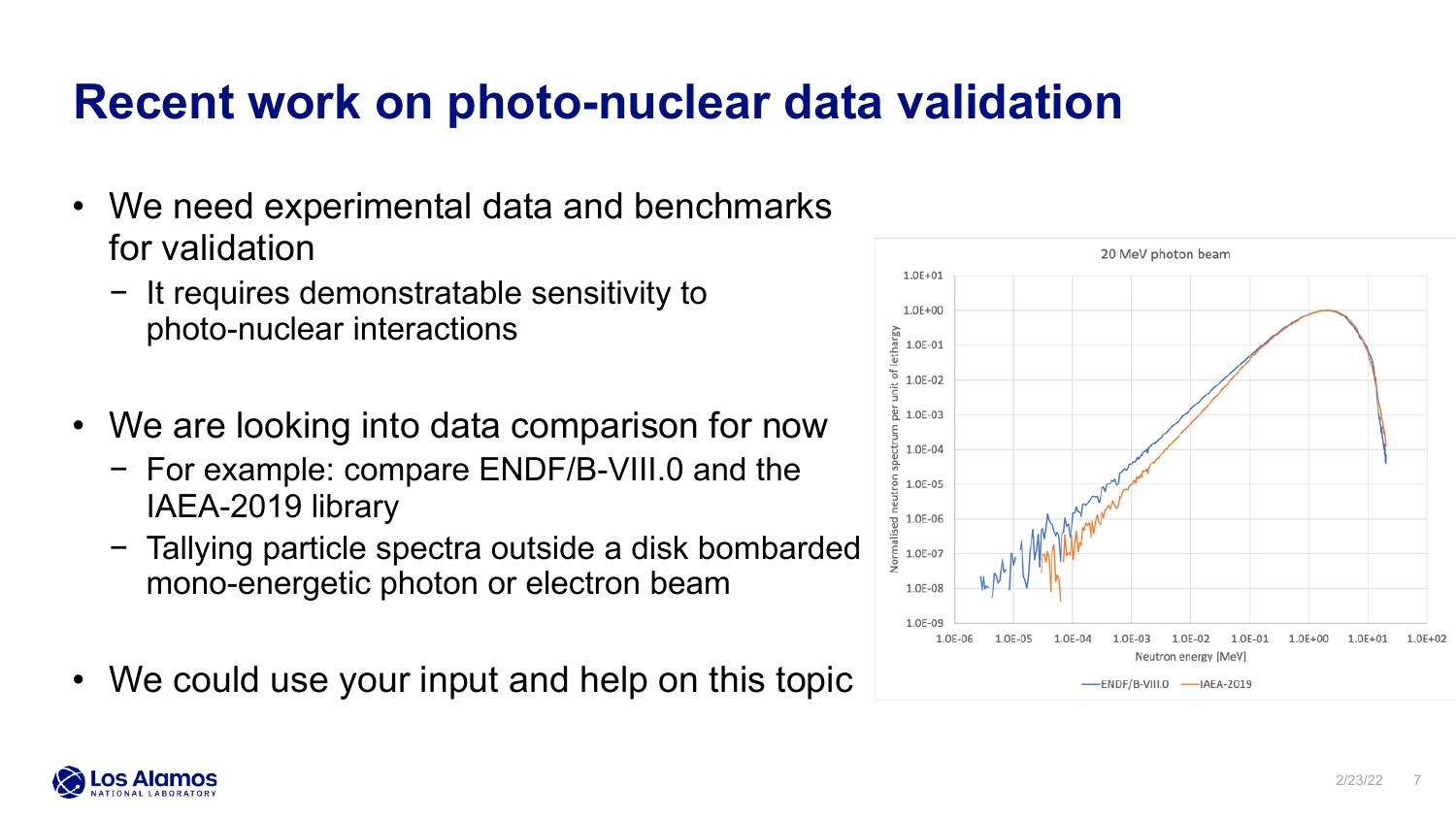### **Recent work on photo-nuclear data validation**

- We need experimental data and benchmarks for validation
	- − It requires demonstratable sensitivity to photo-nuclear interactions
- We are looking into data comparison for now
	- − For example: compare ENDF/B-VIII.0 and the IAEA-2019 library
	- − Tallying particle spectra outside a disk bombarded mono-energetic photon or electron beam
- We could use your input and help on this topic